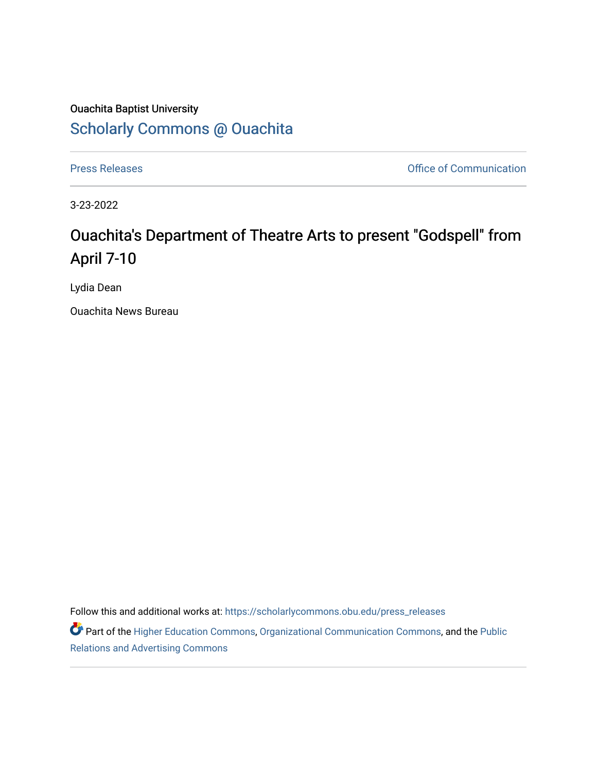## Ouachita Baptist University [Scholarly Commons @ Ouachita](https://scholarlycommons.obu.edu/)

[Press Releases](https://scholarlycommons.obu.edu/press_releases) **Press Releases Communication** 

3-23-2022

## Ouachita's Department of Theatre Arts to present "Godspell" from April 7-10

Lydia Dean

Ouachita News Bureau

Follow this and additional works at: [https://scholarlycommons.obu.edu/press\\_releases](https://scholarlycommons.obu.edu/press_releases?utm_source=scholarlycommons.obu.edu%2Fpress_releases%2F1072&utm_medium=PDF&utm_campaign=PDFCoverPages)

Part of the [Higher Education Commons,](http://network.bepress.com/hgg/discipline/1245?utm_source=scholarlycommons.obu.edu%2Fpress_releases%2F1072&utm_medium=PDF&utm_campaign=PDFCoverPages) [Organizational Communication Commons,](http://network.bepress.com/hgg/discipline/335?utm_source=scholarlycommons.obu.edu%2Fpress_releases%2F1072&utm_medium=PDF&utm_campaign=PDFCoverPages) and the [Public](http://network.bepress.com/hgg/discipline/336?utm_source=scholarlycommons.obu.edu%2Fpress_releases%2F1072&utm_medium=PDF&utm_campaign=PDFCoverPages) [Relations and Advertising Commons](http://network.bepress.com/hgg/discipline/336?utm_source=scholarlycommons.obu.edu%2Fpress_releases%2F1072&utm_medium=PDF&utm_campaign=PDFCoverPages)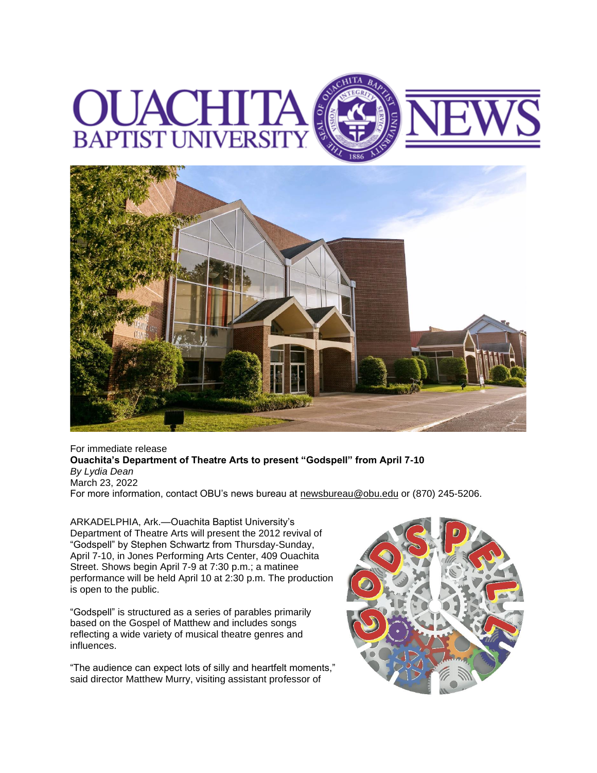



For immediate release **Ouachita's Department of Theatre Arts to present "Godspell" from April 7-10** *By Lydia Dean* March 23, 2022 For more information, contact OBU's news bureau at [newsbureau@obu.edu](mailto:newsbureau@obu.edu) or (870) 245-5206.

ARKADELPHIA, Ark.—Ouachita Baptist University's Department of Theatre Arts will present the 2012 revival of "Godspell" by Stephen Schwartz from Thursday-Sunday, April 7-10, in Jones Performing Arts Center, 409 Ouachita Street. Shows begin April 7-9 at 7:30 p.m.; a matinee performance will be held April 10 at 2:30 p.m. The production is open to the public.

"Godspell" is structured as a series of parables primarily based on the Gospel of Matthew and includes songs reflecting a wide variety of musical theatre genres and influences.

"The audience can expect lots of silly and heartfelt moments," said director Matthew Murry, visiting assistant professor of

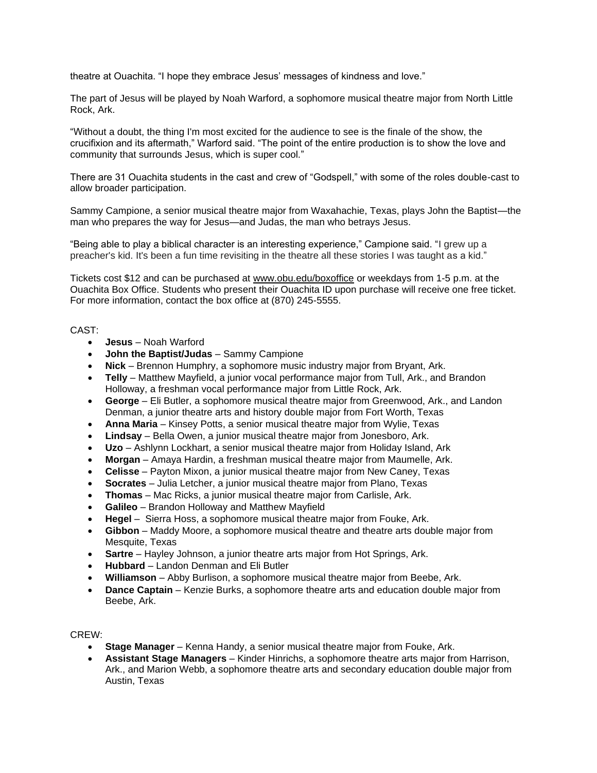theatre at Ouachita. "I hope they embrace Jesus' messages of kindness and love."

The part of Jesus will be played by Noah Warford, a sophomore musical theatre major from North Little Rock, Ark.

"Without a doubt, the thing I'm most excited for the audience to see is the finale of the show, the crucifixion and its aftermath," Warford said. "The point of the entire production is to show the love and community that surrounds Jesus, which is super cool."

There are 31 Ouachita students in the cast and crew of "Godspell," with some of the roles double-cast to allow broader participation.

Sammy Campione, a senior musical theatre major from Waxahachie, Texas, plays John the Baptist—the man who prepares the way for Jesus—and Judas, the man who betrays Jesus.

"Being able to play a biblical character is an interesting experience," Campione said. "I grew up a preacher's kid. It's been a fun time revisiting in the theatre all these stories I was taught as a kid."

Tickets cost \$12 and can be purchased at [www.obu.edu/boxoffice](https://nam12.safelinks.protection.outlook.com/?url=http%3A%2F%2Fwww.obu.edu%2Fboxoffice&data=04%7C01%7Cmortensona%40OBU.EDU%7C8eb1daf096ee49f7c28a08da0d0ca0fd%7C59a7df8e1953458ba12bb585f94a11d9%7C1%7C0%7C637836645139340666%7CUnknown%7CTWFpbGZsb3d8eyJWIjoiMC4wLjAwMDAiLCJQIjoiV2luMzIiLCJBTiI6Ik1haWwiLCJXVCI6Mn0%3D%7C3000&sdata=HiSYKs0%2F2oYaSPjLE5yPqnDeqCu3thAyJSzFXThfndU%3D&reserved=0) or weekdays from 1-5 p.m. at the Ouachita Box Office. Students who present their Ouachita ID upon purchase will receive one free ticket. For more information, contact the box office at (870) 245-5555.

## CAST:

- **Jesus** Noah Warford
- **John the Baptist/Judas** Sammy Campione
- **Nick** Brennon Humphry, a sophomore music industry major from Bryant, Ark.
- **Telly** Matthew Mayfield, a junior vocal performance major from Tull, Ark., and Brandon Holloway, a freshman vocal performance major from Little Rock, Ark.
- **George** Eli Butler, a sophomore musical theatre major from Greenwood, Ark., and Landon Denman, a junior theatre arts and history double major from Fort Worth, Texas
- **Anna Maria** Kinsey Potts, a senior musical theatre major from Wylie, Texas
- **Lindsay** Bella Owen, a junior musical theatre major from Jonesboro, Ark.
- **Uzo** Ashlynn Lockhart, a senior musical theatre major from Holiday Island, Ark
- **Morgan** Amaya Hardin, a freshman musical theatre major from Maumelle, Ark.
- **Celisse** Payton Mixon, a junior musical theatre major from New Caney, Texas
- **Socrates** Julia Letcher, a junior musical theatre major from Plano, Texas
- **Thomas** Mac Ricks, a junior musical theatre major from Carlisle, Ark.
- **Galileo** Brandon Holloway and Matthew Mayfield
- **Hegel** Sierra Hoss, a sophomore musical theatre major from Fouke, Ark.
- **Gibbon** Maddy Moore, a sophomore musical theatre and theatre arts double major from Mesquite, Texas
- **Sartre** Hayley Johnson, a junior theatre arts major from Hot Springs, Ark.
- **Hubbard** Landon Denman and Eli Butler
- **Williamson** Abby Burlison, a sophomore musical theatre major from Beebe, Ark.
- **Dance Captain** Kenzie Burks, a sophomore theatre arts and education double major from Beebe, Ark.

## CREW:

- **Stage Manager** Kenna Handy, a senior musical theatre major from Fouke, Ark.
- **Assistant Stage Managers** Kinder Hinrichs, a sophomore theatre arts major from Harrison, Ark., and Marion Webb, a sophomore theatre arts and secondary education double major from Austin, Texas